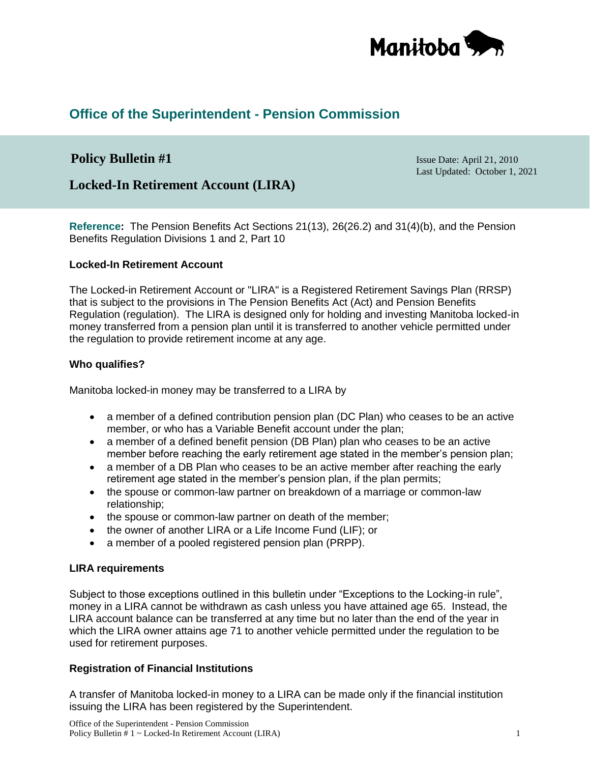

# **Office of the Superintendent - Pension Commission**

## **Policy Bulletin #1** Issue Date: April 21, 2010

Last Updated: October 1, 2021

## **Locked-In Retirement Account (LIRA)**

**Reference:** The Pension Benefits Act Sections 21(13), 26(26.2) and 31(4)(b), and the Pension Benefits Regulation Divisions 1 and 2, Part 10

#### **Locked-In Retirement Account**

The Locked-in Retirement Account or "LIRA" is a Registered Retirement Savings Plan (RRSP) that is subject to the provisions in The Pension Benefits Act (Act) and Pension Benefits Regulation (regulation). The LIRA is designed only for holding and investing Manitoba locked-in money transferred from a pension plan until it is transferred to another vehicle permitted under the regulation to provide retirement income at any age.

#### **Who qualifies?**

Manitoba locked-in money may be transferred to a LIRA by

- a member of a defined contribution pension plan (DC Plan) who ceases to be an active member, or who has a Variable Benefit account under the plan;
- a member of a defined benefit pension (DB Plan) plan who ceases to be an active member before reaching the early retirement age stated in the member's pension plan;
- a member of a DB Plan who ceases to be an active member after reaching the early retirement age stated in the member's pension plan, if the plan permits;
- the spouse or common-law partner on breakdown of a marriage or common-law relationship;
- the spouse or common-law partner on death of the member;
- the owner of another LIRA or a Life Income Fund (LIF); or
- a member of a pooled registered pension plan (PRPP).

## **LIRA requirements**

Subject to those exceptions outlined in this bulletin under "Exceptions to the Locking-in rule", money in a LIRA cannot be withdrawn as cash unless you have attained age 65. Instead, the LIRA account balance can be transferred at any time but no later than the end of the year in which the LIRA owner attains age 71 to another vehicle permitted under the regulation to be used for retirement purposes.

## **Registration of Financial Institutions**

A transfer of Manitoba locked-in money to a LIRA can be made only if the financial institution issuing the LIRA has been registered by the Superintendent.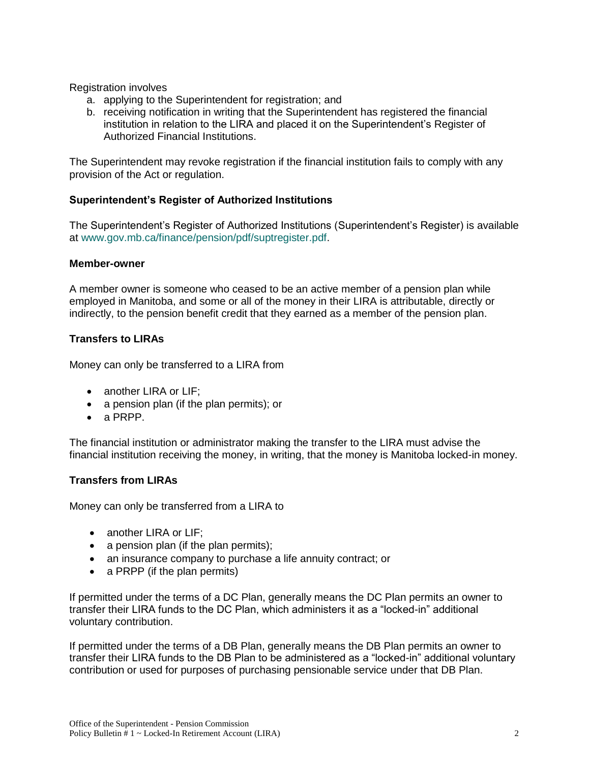Registration involves

- a. applying to the Superintendent for registration; and
- b. receiving notification in writing that the Superintendent has registered the financial institution in relation to the LIRA and placed it on the Superintendent's Register of Authorized Financial Institutions.

The Superintendent may revoke registration if the financial institution fails to comply with any provision of the Act or regulation.

## **Superintendent's Register of Authorized Institutions**

The Superintendent's Register of Authorized Institutions (Superintendent's Register) is available at [www.gov.mb.ca/finance/pension/pdf/suptregister.pdf.](https://gov.mb.ca/finance/pension/pdf/suptregister.pdf)

#### **Member-owner**

A member owner is someone who ceased to be an active member of a pension plan while employed in Manitoba, and some or all of the money in their LIRA is attributable, directly or indirectly, to the pension benefit credit that they earned as a member of the pension plan.

## **Transfers to LIRAs**

Money can only be transferred to a LIRA from

- another LIRA or LIF;
- a pension plan (if the plan permits); or
- a PRPP.

The financial institution or administrator making the transfer to the LIRA must advise the financial institution receiving the money, in writing, that the money is Manitoba locked-in money.

## **Transfers from LIRAs**

Money can only be transferred from a LIRA to

- another LIRA or LIF;
- $\bullet$  a pension plan (if the plan permits);
- an insurance company to purchase a life annuity contract; or
- a PRPP (if the plan permits)

If permitted under the terms of a DC Plan, generally means the DC Plan permits an owner to transfer their LIRA funds to the DC Plan, which administers it as a "locked-in" additional voluntary contribution.

If permitted under the terms of a DB Plan, generally means the DB Plan permits an owner to transfer their LIRA funds to the DB Plan to be administered as a "locked-in" additional voluntary contribution or used for purposes of purchasing pensionable service under that DB Plan.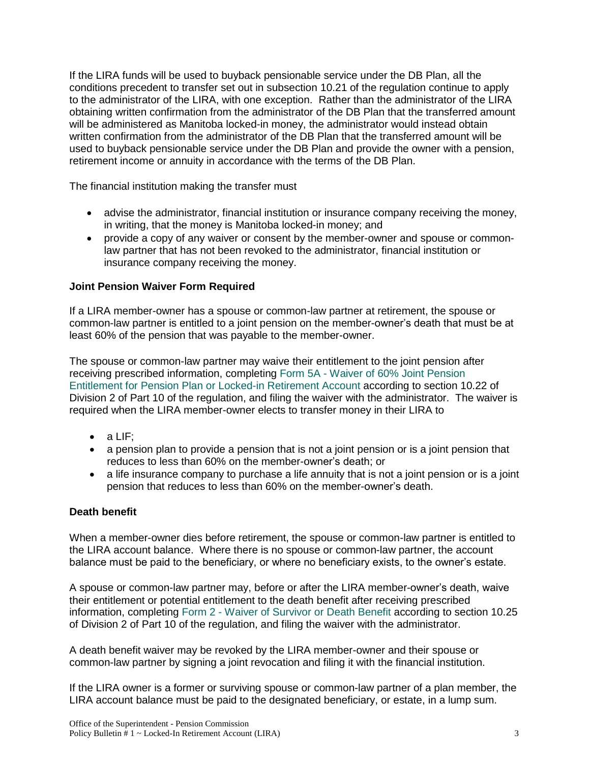If the LIRA funds will be used to buyback pensionable service under the DB Plan, all the conditions precedent to transfer set out in subsection 10.21 of the regulation continue to apply to the administrator of the LIRA, with one exception. Rather than the administrator of the LIRA obtaining written confirmation from the administrator of the DB Plan that the transferred amount will be administered as Manitoba locked-in money, the administrator would instead obtain written confirmation from the administrator of the DB Plan that the transferred amount will be used to buyback pensionable service under the DB Plan and provide the owner with a pension, retirement income or annuity in accordance with the terms of the DB Plan.

The financial institution making the transfer must

- advise the administrator, financial institution or insurance company receiving the money, in writing, that the money is Manitoba locked-in money; and
- provide a copy of any waiver or consent by the member-owner and spouse or commonlaw partner that has not been revoked to the administrator, financial institution or insurance company receiving the money.

## **Joint Pension Waiver Form Required**

If a LIRA member-owner has a spouse or common-law partner at retirement, the spouse or common-law partner is entitled to a joint pension on the member-owner's death that must be at least 60% of the pension that was payable to the member-owner.

The spouse or common-law partner may waive their entitlement to the joint pension after receiving prescribed information, completing Form 5A - [Waiver of 60% Joint Pension](https://gov.mb.ca/finance/pension/pdf/form5a_waiver60joint.pdf)  [Entitlement for Pension Plan or Locked-in Retirement Account](https://gov.mb.ca/finance/pension/pdf/form5a_waiver60joint.pdf) according to section 10.22 of Division 2 of Part 10 of the regulation, and filing the waiver with the administrator. The waiver is required when the LIRA member-owner elects to transfer money in their LIRA to

- $\bullet$  a LIF;
- a pension plan to provide a pension that is not a joint pension or is a joint pension that reduces to less than 60% on the member-owner's death; or
- a life insurance company to purchase a life annuity that is not a joint pension or is a joint pension that reduces to less than 60% on the member-owner's death.

#### **Death benefit**

When a member-owner dies before retirement, the spouse or common-law partner is entitled to the LIRA account balance. Where there is no spouse or common-law partner, the account balance must be paid to the beneficiary, or where no beneficiary exists, to the owner's estate.

A spouse or common-law partner may, before or after the LIRA member-owner's death, waive their entitlement or potential entitlement to the death benefit after receiving prescribed information, completing Form 2 - [Waiver of Survivor or Death Benefit](https://gov.mb.ca/finance/pension/pdf/form2_deathbenefitwaiver.pdf) according to section 10.25 of Division 2 of Part 10 of the regulation, and filing the waiver with the administrator.

A death benefit waiver may be revoked by the LIRA member-owner and their spouse or common-law partner by signing a joint revocation and filing it with the financial institution.

If the LIRA owner is a former or surviving spouse or common-law partner of a plan member, the LIRA account balance must be paid to the designated beneficiary, or estate, in a lump sum.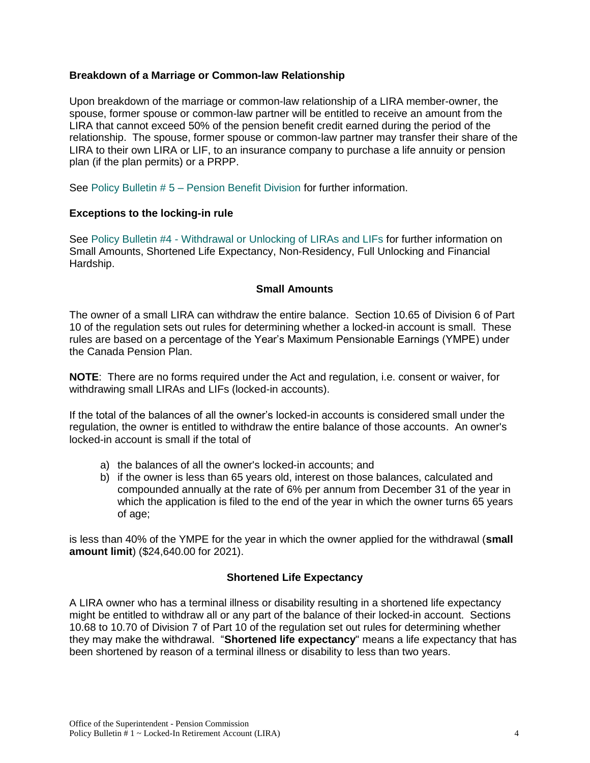## **Breakdown of a Marriage or Common-law Relationship**

Upon breakdown of the marriage or common-law relationship of a LIRA member-owner, the spouse, former spouse or common-law partner will be entitled to receive an amount from the LIRA that cannot exceed 50% of the pension benefit credit earned during the period of the relationship. The spouse, former spouse or common-law partner may transfer their share of the LIRA to their own LIRA or LIF, to an insurance company to purchase a life annuity or pension plan (if the plan permits) or a PRPP.

See Policy Bulletin # 5 – [Pension Benefit Division](https://www.gov.mb.ca/finance/pension/pdf/bulletin5_2021.pdf) for further information.

#### **Exceptions to the locking-in rule**

See Policy Bulletin #4 - [Withdrawal or Unlocking of LIRAs and LIFs](https://www.gov.mb.ca/finance/pension/pdf/bulletin4_2021.pdf) for further information on Small Amounts, Shortened Life Expectancy, Non-Residency, Full Unlocking and Financial Hardship.

#### **Small Amounts**

The owner of a small LIRA can withdraw the entire balance. Section 10.65 of Division 6 of Part 10 of the regulation sets out rules for determining whether a locked-in account is small. These rules are based on a percentage of the Year's Maximum Pensionable Earnings (YMPE) under the Canada Pension Plan.

**NOTE**: There are no forms required under the Act and regulation, i.e. consent or waiver, for withdrawing small LIRAs and LIFs (locked-in accounts).

If the total of the balances of all the owner's locked-in accounts is considered small under the regulation, the owner is entitled to withdraw the entire balance of those accounts. An owner's locked-in account is small if the total of

- a) the balances of all the owner's locked-in accounts; and
- b) if the owner is less than 65 years old, interest on those balances, calculated and compounded annually at the rate of 6% per annum from December 31 of the year in which the application is filed to the end of the year in which the owner turns 65 years of age;

is less than 40% of the YMPE for the year in which the owner applied for the withdrawal (**small amount limit**) (\$24,640.00 for 2021).

## **Shortened Life Expectancy**

A LIRA owner who has a terminal illness or disability resulting in a shortened life expectancy might be entitled to withdraw all or any part of the balance of their locked-in account. Sections 10.68 to 10.70 of Division 7 of Part 10 of the regulation set out rules for determining whether they may make the withdrawal. "**Shortened life expectancy**" means a life expectancy that has been shortened by reason of a terminal illness or disability to less than two years.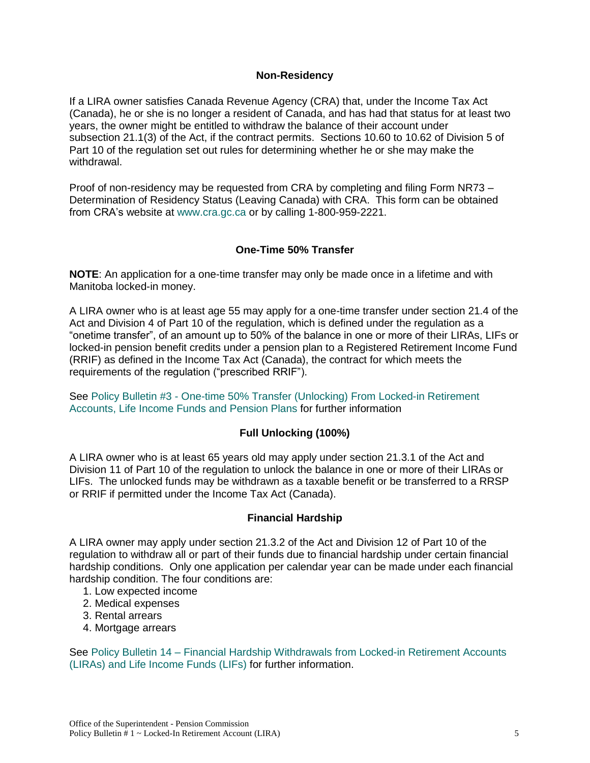### **Non-Residency**

If a LIRA owner satisfies Canada Revenue Agency (CRA) that, under the Income Tax Act (Canada), he or she is no longer a resident of Canada, and has had that status for at least two years, the owner might be entitled to withdraw the balance of their account under subsection 21.1(3) of the Act, if the contract permits. Sections 10.60 to 10.62 of Division 5 of Part 10 of the regulation set out rules for determining whether he or she may make the withdrawal.

Proof of non-residency may be requested from CRA by completing and filing Form NR73 – Determination of Residency Status (Leaving Canada) with CRA. This form can be obtained from CRA's website at [www.cra.gc.ca](http://www.cra.gc.ca/) or by calling 1-800-959-2221.

## **One-Time 50% Transfer**

**NOTE**: An application for a one-time transfer may only be made once in a lifetime and with Manitoba locked-in money.

A LIRA owner who is at least age 55 may apply for a one-time transfer under section 21.4 of the Act and Division 4 of Part 10 of the regulation, which is defined under the regulation as a "onetime transfer", of an amount up to 50% of the balance in one or more of their LIRAs, LIFs or locked-in pension benefit credits under a pension plan to a Registered Retirement Income Fund (RRIF) as defined in the Income Tax Act (Canada), the contract for which meets the requirements of the regulation ("prescribed RRIF").

See Policy Bulletin #3 - [One-time 50% Transfer \(Unlocking\) From Locked-in Retirement](https://gov.mb.ca/finance/pension/pdf/bulletin3_2021.pdf)  [Accounts, Life Income Funds and](https://gov.mb.ca/finance/pension/pdf/bulletin3_2021.pdf) Pension Plans for further information

## **Full Unlocking (100%)**

A LIRA owner who is at least 65 years old may apply under section 21.3.1 of the Act and Division 11 of Part 10 of the regulation to unlock the balance in one or more of their LIRAs or LIFs. The unlocked funds may be withdrawn as a taxable benefit or be transferred to a RRSP or RRIF if permitted under the Income Tax Act (Canada).

#### **Financial Hardship**

A LIRA owner may apply under section 21.3.2 of the Act and Division 12 of Part 10 of the regulation to withdraw all or part of their funds due to financial hardship under certain financial hardship conditions. Only one application per calendar year can be made under each financial hardship condition. The four conditions are:

- 1. Low expected income
- 2. Medical expenses
- 3. Rental arrears
- 4. Mortgage arrears

See Policy Bulletin 14 – Financial Hardship Withdrawals [from Locked-in Retirement Accounts](https://gov.mb.ca/finance/pension/pdf/bulletin14.pdf)  [\(LIRAs\) and Life Income Funds \(LIFs\)](https://gov.mb.ca/finance/pension/pdf/bulletin14.pdf) for further information.